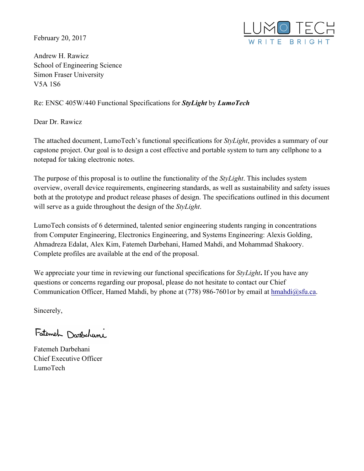February 20, 2017



Andrew H. Rawicz School of Engineering Science Simon Fraser University V5A 1S6

### Re: ENSC 405W/440 Functional Specifications for *StyLight* by *LumoTech*

Dear Dr. Rawicz

The attached document, LumoTech's functional specifications for *StyLight*, provides a summary of our capstone project. Our goal is to design a cost effective and portable system to turn any cellphone to a notepad for taking electronic notes.

The purpose of this proposal is to outline the functionality of the *StyLight*. This includes system overview, overall device requirements, engineering standards, as well as sustainability and safety issues both at the prototype and product release phases of design. The specifications outlined in this document will serve as a guide throughout the design of the *StyLight*.

LumoTech consists of 6 determined, talented senior engineering students ranging in concentrations from Computer Engineering, Electronics Engineering, and Systems Engineering: Alexis Golding, Ahmadreza Edalat, Alex Kim, Fatemeh Darbehani, Hamed Mahdi, and Mohammad Shakoory. Complete profiles are available at the end of the proposal.

We appreciate your time in reviewing our functional specifications for *StyLight***.** If you have any questions or concerns regarding our proposal, please do not hesitate to contact our Chief Communication Officer, Hamed Mahdi, by phone at (778) 986-7601 or by email at hmahdi@sfu.ca.

Sincerely,

Fatement Darbehani

Fatemeh Darbehani Chief Executive Officer LumoTech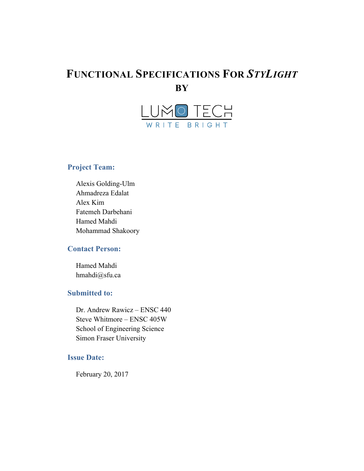# **FUNCTIONAL SPECIFICATIONS FOR** *STYLIGHT* **BY**



### **Project Team:**

Alexis Golding-Ulm Ahmadreza Edalat Alex Kim Fatemeh Darbehani Hamed Mahdi Mohammad Shakoory

### **Contact Person:**

Hamed Mahdi hmahdi@sfu.ca

#### **Submitted to:**

Dr. Andrew Rawicz – ENSC 440 Steve Whitmore – ENSC 405W School of Engineering Science Simon Fraser University

#### **Issue Date:**

February 20, 2017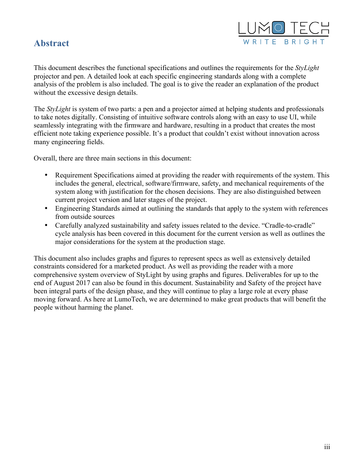## **Abstract**



This document describes the functional specifications and outlines the requirements for the *StyLight*  projector and pen. A detailed look at each specific engineering standards along with a complete analysis of the problem is also included. The goal is to give the reader an explanation of the product without the excessive design details.

The *StyLight* is system of two parts: a pen and a projector aimed at helping students and professionals to take notes digitally. Consisting of intuitive software controls along with an easy to use UI, while seamlessly integrating with the firmware and hardware, resulting in a product that creates the most efficient note taking experience possible. It's a product that couldn't exist without innovation across many engineering fields.

Overall, there are three main sections in this document:

- Requirement Specifications aimed at providing the reader with requirements of the system. This includes the general, electrical, software/firmware, safety, and mechanical requirements of the system along with justification for the chosen decisions. They are also distinguished between current project version and later stages of the project.
- Engineering Standards aimed at outlining the standards that apply to the system with references from outside sources
- Carefully analyzed sustainability and safety issues related to the device. "Cradle-to-cradle" cycle analysis has been covered in this document for the current version as well as outlines the major considerations for the system at the production stage.

This document also includes graphs and figures to represent specs as well as extensively detailed constraints considered for a marketed product. As well as providing the reader with a more comprehensive system overview of StyLight by using graphs and figures. Deliverables for up to the end of August 2017 can also be found in this document. Sustainability and Safety of the project have been integral parts of the design phase, and they will continue to play a large role at every phase moving forward. As here at LumoTech, we are determined to make great products that will benefit the people without harming the planet.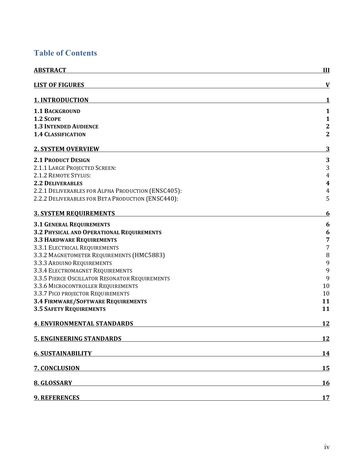# **Table of Contents**

| <b>ABSTRACT</b>                                                                                                                          | III                     |
|------------------------------------------------------------------------------------------------------------------------------------------|-------------------------|
| <b>LIST OF FIGURES</b>                                                                                                                   | $\mathbf V$             |
| <b>1. INTRODUCTION</b>                                                                                                                   | 1                       |
| <b>1.1 BACKGROUND</b>                                                                                                                    | $\mathbf{1}$            |
| 1.2 SCOPE                                                                                                                                | 1                       |
| <b>1.3 INTENDED AUDIENCE</b>                                                                                                             | $\overline{\mathbf{c}}$ |
| <b>1.4 CLASSIFICATION</b>                                                                                                                | $\mathbf{2}$            |
| <b>2. SYSTEM OVERVIEW</b>                                                                                                                | 3                       |
| <b>2.1 PRODUCT DESIGN</b>                                                                                                                | 3                       |
| 2.1.1 LARGE PROJECTED SCREEN:                                                                                                            | $\sqrt{3}$              |
| 2.1.2 REMOTE STYLUS:                                                                                                                     | $\overline{4}$          |
| <b>2.2 DELIVERABLES</b>                                                                                                                  | $\boldsymbol{4}$        |
| 2.2.1 DELIVERABLES FOR ALPHA PRODUCTION (ENSC405):                                                                                       | $\overline{4}$          |
| 2.2.2 DELIVERABLES FOR BETA PRODUCTION (ENSC440):                                                                                        | 5                       |
| <b>3. SYSTEM REQUIREMENTS</b>                                                                                                            | 6                       |
| <b>3.1 GENERAL REQUIREMENTS</b>                                                                                                          | 6                       |
| 3.2 PHYSICAL AND OPERATIONAL REQUIREMENTS                                                                                                | 6                       |
| <b>3.3 HARDWARE REQUIREMENTS</b>                                                                                                         | 7                       |
| 3.3.1 ELECTRICAL REQUIREMENTS                                                                                                            | $\overline{7}$          |
| 3.3.2 MAGNETOMETER REQUIREMENTS (HMC5883)                                                                                                | $\, 8$                  |
| 3.3.3 ARDUINO REQUIREMENTS                                                                                                               | 9                       |
| 3.3.4 ELECTROMAGNET REQUIREMENTS                                                                                                         | 9                       |
| 3.3.5 PIERCE OSCILLATOR RESONATOR REQUIREMENTS                                                                                           | 9                       |
| 3.3.6 MICROCONTROLLER REQUIREMENTS                                                                                                       | 10                      |
| 3.3.7 PICO PROJECTOR REQUIREMENTS                                                                                                        | 10                      |
| <b>3.4 FIRMWARE/SOFTWARE REQUIREMENTS</b>                                                                                                | 11                      |
| <b>3.5 SAFETY REQUIREMENTS</b>                                                                                                           | 11                      |
| <b>4. ENVIRONMENTAL STANDARDS</b>                                                                                                        | 12                      |
| <b>5. ENGINEERING STANDARDS</b>                                                                                                          | 12                      |
| <b>6. SUSTAINABILITY</b><br><u> 1980 - Andrea Andrew Maria (h. 1980).</u>                                                                | 14                      |
| 7. CONCLUSION<br><u> 1989 - Johann Stoff, amerikansk politiker (d. 1989)</u>                                                             | 15                      |
| 8. GLOSSARY                                                                                                                              | 16                      |
| <b>9. REFERENCES</b><br>and the control of the control of the control of the control of the control of the control of the control of the | 17                      |
|                                                                                                                                          |                         |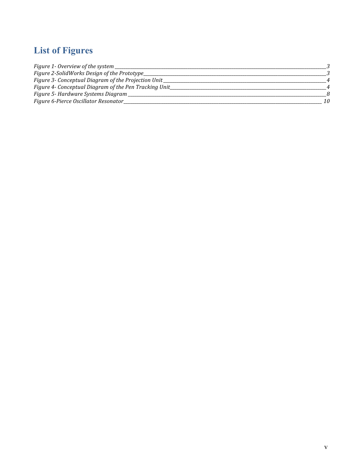# **List of Figures**

| Figure 1- Overview of the system                       |    |
|--------------------------------------------------------|----|
| Figure 2-SolidWorks Design of the Prototype_           |    |
| Figure 3- Conceptual Diagram of the Projection Unit_   |    |
| Figure 4- Conceptual Diagram of the Pen Tracking Unit_ |    |
| Figure 5- Hardware Systems Diagram                     |    |
| Figure 6-Pierce Oscillator Resonator_                  | 10 |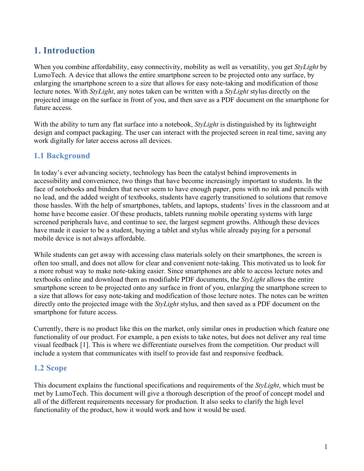# **1. Introduction**

When you combine affordability, easy connectivity, mobility as well as versatility, you get *StyLight* by LumoTech. A device that allows the entire smartphone screen to be projected onto any surface, by enlarging the smartphone screen to a size that allows for easy note-taking and modification of those lecture notes. With *StyLight*, any notes taken can be written with a *StyLight* stylus directly on the projected image on the surface in front of you, and then save as a PDF document on the smartphone for future access.

With the ability to turn any flat surface into a notebook, *StyLight* is distinguished by its lightweight design and compact packaging. The user can interact with the projected screen in real time, saving any work digitally for later access across all devices.

### **1.1 Background**

In today's ever advancing society, technology has been the catalyst behind improvements in accessibility and convenience, two things that have become increasingly important to students. In the face of notebooks and binders that never seem to have enough paper, pens with no ink and pencils with no lead, and the added weight of textbooks, students have eagerly transitioned to solutions that remove those hassles. With the help of smartphones, tablets, and laptops, students' lives in the classroom and at home have become easier. Of these products, tablets running mobile operating systems with large screened peripherals have, and continue to see, the largest segment growths. Although these devices have made it easier to be a student, buying a tablet and stylus while already paying for a personal mobile device is not always affordable.

While students can get away with accessing class materials solely on their smartphones, the screen is often too small, and does not allow for clear and convenient note-taking. This motivated us to look for a more robust way to make note-taking easier. Since smartphones are able to access lecture notes and textbooks online and download them as modifiable PDF documents, the *StyLight* allows the entire smartphone screen to be projected onto any surface in front of you, enlarging the smartphone screen to a size that allows for easy note-taking and modification of those lecture notes. The notes can be written directly onto the projected image with the *StyLight* stylus, and then saved as a PDF document on the smartphone for future access.

Currently, there is no product like this on the market, only similar ones in production which feature one functionality of our product. For example, a pen exists to take notes, but does not deliver any real time visual feedback [1]. This is where we differentiate ourselves from the competition. Our product will include a system that communicates with itself to provide fast and responsive feedback.

### **1.2 Scope**

This document explains the functional specifications and requirements of the *StyLight*, which must be met by LumoTech. This document will give a thorough description of the proof of concept model and all of the different requirements necessary for production. It also seeks to clarify the high level functionality of the product, how it would work and how it would be used.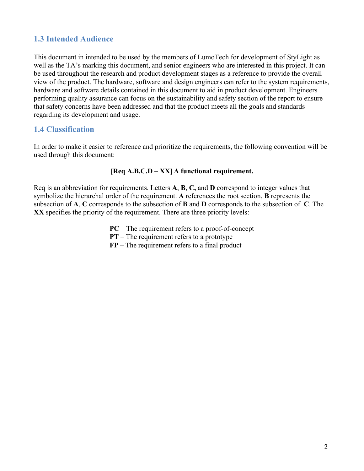### **1.3 Intended Audience**

This document in intended to be used by the members of LumoTech for development of StyLight as well as the TA's marking this document, and senior engineers who are interested in this project. It can be used throughout the research and product development stages as a reference to provide the overall view of the product. The hardware, software and design engineers can refer to the system requirements, hardware and software details contained in this document to aid in product development. Engineers performing quality assurance can focus on the sustainability and safety section of the report to ensure that safety concerns have been addressed and that the product meets all the goals and standards regarding its development and usage.

### **1.4 Classification**

In order to make it easier to reference and prioritize the requirements, the following convention will be used through this document:

#### **[Req A.B.C.D – XX] A functional requirement.**

Req is an abbreviation for requirements. Letters **A**, **B**, **C,** and **D** correspond to integer values that symbolize the hierarchal order of the requirement. **A** references the root section, **B** represents the subsection of **A**, **C** corresponds to the subsection of **B** and **D** corresponds to the subsection of **C**. The **XX** specifies the priority of the requirement. There are three priority levels:

**PC** – The requirement refers to a proof-of-concept

**PT** – The requirement refers to a prototype

**FP** – The requirement refers to a final product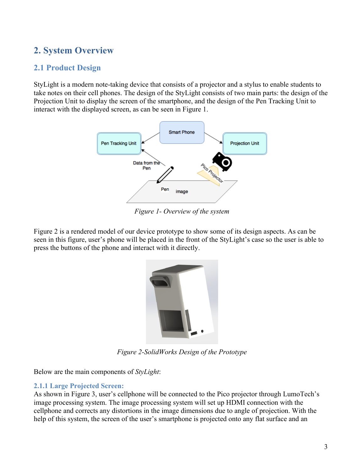# **2. System Overview**

### **2.1 Product Design**

StyLight is a modern note-taking device that consists of a projector and a stylus to enable students to take notes on their cell phones. The design of the StyLight consists of two main parts: the design of the Projection Unit to display the screen of the smartphone, and the design of the Pen Tracking Unit to interact with the displayed screen, as can be seen in Figure 1.



*Figure 1- Overview of the system*

Figure 2 is a rendered model of our device prototype to show some of its design aspects. As can be seen in this figure, user's phone will be placed in the front of the StyLight's case so the user is able to press the buttons of the phone and interact with it directly.



*Figure 2-SolidWorks Design of the Prototype*

Below are the main components of *StyLight*:

#### **2.1.1 Large Projected Screen:**

As shown in Figure 3, user's cellphone will be connected to the Pico projector through LumoTech's image processing system. The image processing system will set up HDMI connection with the cellphone and corrects any distortions in the image dimensions due to angle of projection. With the help of this system, the screen of the user's smartphone is projected onto any flat surface and an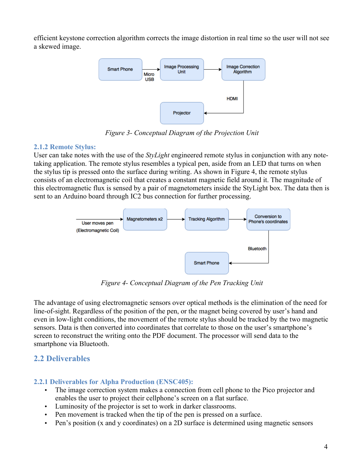efficient keystone correction algorithm corrects the image distortion in real time so the user will not see a skewed image.



*Figure 3- Conceptual Diagram of the Projection Unit*

#### **2.1.2 Remote Stylus:**

User can take notes with the use of the *StyLight* engineered remote stylus in conjunction with any notetaking application. The remote stylus resembles a typical pen, aside from an LED that turns on when the stylus tip is pressed onto the surface during writing. As shown in Figure 4, the remote stylus consists of an electromagnetic coil that creates a constant magnetic field around it. The magnitude of this electromagnetic flux is sensed by a pair of magnetometers inside the StyLight box. The data then is sent to an Arduino board through IC2 bus connection for further processing.



*Figure 4- Conceptual Diagram of the Pen Tracking Unit*

The advantage of using electromagnetic sensors over optical methods is the elimination of the need for line-of-sight. Regardless of the position of the pen, or the magnet being covered by user's hand and even in low-light conditions, the movement of the remote stylus should be tracked by the two magnetic sensors. Data is then converted into coordinates that correlate to those on the user's smartphone's screen to reconstruct the writing onto the PDF document. The processor will send data to the smartphone via Bluetooth.

### **2.2 Deliverables**

### **2.2.1 Deliverables for Alpha Production (ENSC405):**

- The image correction system makes a connection from cell phone to the Pico projector and enables the user to project their cellphone's screen on a flat surface.
- Luminosity of the projector is set to work in darker classrooms.
- Pen movement is tracked when the tip of the pen is pressed on a surface.
- Pen's position (x and y coordinates) on a 2D surface is determined using magnetic sensors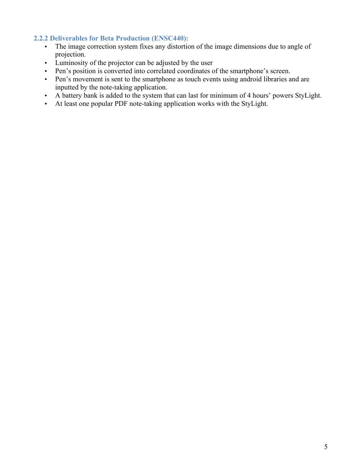#### **2.2.2 Deliverables for Beta Production (ENSC440):**

- The image correction system fixes any distortion of the image dimensions due to angle of projection.
- Luminosity of the projector can be adjusted by the user
- Pen's position is converted into correlated coordinates of the smartphone's screen.
- Pen's movement is sent to the smartphone as touch events using android libraries and are inputted by the note-taking application.
- A battery bank is added to the system that can last for minimum of 4 hours' powers StyLight.
- At least one popular PDF note-taking application works with the StyLight.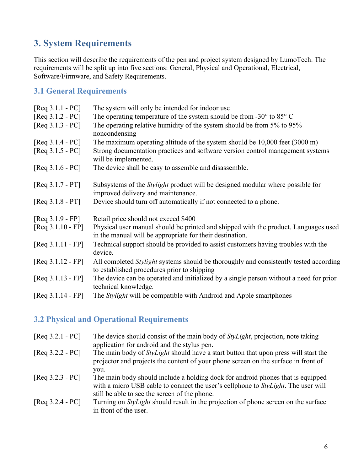# **3. System Requirements**

This section will describe the requirements of the pen and project system designed by LumoTech. The requirements will be split up into five sections: General, Physical and Operational, Electrical, Software/Firmware, and Safety Requirements.

### **3.1 General Requirements**

| $[Req 3.1.1 - PC]$  | The system will only be intended for indoor use                                                                                                 |
|---------------------|-------------------------------------------------------------------------------------------------------------------------------------------------|
| $[Req 3.1.2 - PC]$  | The operating temperature of the system should be from $-30^{\circ}$ to $85^{\circ}$ C                                                          |
| $[Req 3.1.3 - PC]$  | The operating relative humidity of the system should be from 5% to 95%<br>noncondensing                                                         |
| $[Req 3.1.4 - PC]$  | The maximum operating altitude of the system should be $10,000$ feet $(3000 \text{ m})$                                                         |
| $[Req 3.1.5 - PC]$  | Strong documentation practices and software version control management systems<br>will be implemented.                                          |
| $[Req 3.1.6 - PC]$  | The device shall be easy to assemble and disassemble.                                                                                           |
| $[Req 3.1.7 - PT]$  | Subsystems of the <i>Stylight</i> product will be designed modular where possible for<br>improved delivery and maintenance.                     |
| $[Req 3.1.8 - PT]$  | Device should turn off automatically if not connected to a phone.                                                                               |
| $[Req 3.1.9 - FP]$  | Retail price should not exceed \$400                                                                                                            |
| $[Req 3.1.10 - FP]$ | Physical user manual should be printed and shipped with the product. Languages used<br>in the manual will be appropriate for their destination. |
| $[Req 3.1.11 - FP]$ | Technical support should be provided to assist customers having troubles with the<br>device.                                                    |
| $[Req 3.1.12 - FP]$ | All completed <i>Stylight</i> systems should be thoroughly and consistently tested according<br>to established procedures prior to shipping     |
| $[Req 3.1.13 - FP]$ | The device can be operated and initialized by a single person without a need for prior<br>technical knowledge.                                  |
| $[Req 3.1.14 - FP]$ | The <i>Stylight</i> will be compatible with Android and Apple smartphones                                                                       |

# **3.2 Physical and Operational Requirements**

| $[Req 3.2.1 - PC]$ | The device should consist of the main body of <i>StyLight</i> , projection, note taking<br>application for android and the stylus pen.                                               |
|--------------------|--------------------------------------------------------------------------------------------------------------------------------------------------------------------------------------|
| $[Req 3.2.2 - PC]$ | The main body of <i>StyLight</i> should have a start button that upon press will start the<br>projector and projects the content of your phone screen on the surface in front of     |
| $[Req 3.2.3 - PC]$ | you.<br>The main body should include a holding dock for android phones that is equipped<br>with a micro USB cable to connect the user's cellphone to <i>StyLight</i> . The user will |
| $[Req 3.2.4 - PC]$ | still be able to see the screen of the phone.<br>Turning on <i>StyLight</i> should result in the projection of phone screen on the surface<br>in front of the user.                  |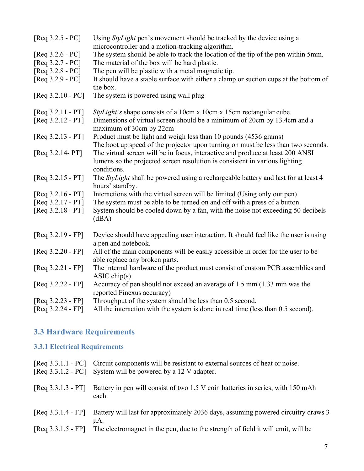| $[Req 3.2.5 - PC]$  | Using <i>StyLight</i> pen's movement should be tracked by the device using a<br>microcontroller and a motion-tracking algorithm. |
|---------------------|----------------------------------------------------------------------------------------------------------------------------------|
| [Req $3.2.6 - PC$ ] | The system should be able to track the location of the tip of the pen within 5mm.                                                |
| $[Req 3.2.7 - PC]$  | The material of the box will be hard plastic.                                                                                    |
| [Req 3.2.8 - PC]    | The pen will be plastic with a metal magnetic tip.                                                                               |
| $[Req 3.2.9 - PC]$  | It should have a stable surface with either a clamp or suction cups at the bottom of                                             |
|                     | the box.                                                                                                                         |
| $[Req 3.2.10 - PC]$ | The system is powered using wall plug                                                                                            |
| $[Req 3.2.11 - PT]$ | StyLight's shape consists of a 10cm x 10cm x 15cm rectangular cube.                                                              |
| $[Req 3.2.12 - PT]$ | Dimensions of virtual screen should be a minimum of 20cm by 13.4cm and a<br>maximum of 30cm by 22cm                              |
| $[Req 3.2.13 - PT]$ | Product must be light and weigh less than 10 pounds (4536 grams)                                                                 |
|                     | The boot up speed of the projector upon turning on must be less than two seconds.                                                |
| [Req 3.2.14- PT]    | The virtual screen will be in focus, interactive and produce at least 200 ANSI                                                   |
|                     | lumens so the projected screen resolution is consistent in various lighting                                                      |
|                     | conditions.                                                                                                                      |
| $[Req 3.2.15 - PT]$ | The <i>StyLight</i> shall be powered using a rechargeable battery and last for at least 4                                        |
|                     | hours' standby.                                                                                                                  |
| $[Req 3.2.16 - PT]$ | Interactions with the virtual screen will be limited (Using only our pen)                                                        |
| $[Req 3.2.17 - PT]$ | The system must be able to be turned on and off with a press of a button.                                                        |
| $[Req 3.2.18 - PT]$ | System should be cooled down by a fan, with the noise not exceeding 50 decibels                                                  |
|                     | (dBA)                                                                                                                            |
| $[Req 3.2.19 - FP]$ | Device should have appealing user interaction. It should feel like the user is using                                             |
|                     | a pen and notebook.                                                                                                              |
| $[Req 3.2.20 - FP]$ | All of the main components will be easily accessible in order for the user to be                                                 |
|                     | able replace any broken parts.                                                                                                   |
| $[Req 3.2.21 - FP]$ | The internal hardware of the product must consist of custom PCB assemblies and                                                   |
|                     | ASIC chip(s)                                                                                                                     |
| $[Req 3.2.22 - FP]$ | Accuracy of pen should not exceed an average of 1.5 mm (1.33 mm was the                                                          |
|                     | reported Finexus accuracy)                                                                                                       |
| $[Req 3.2.23 - FP]$ | Throughput of the system should be less than 0.5 second.                                                                         |
| $[Req 3.2.24 - FP]$ | All the interaction with the system is done in real time (less than 0.5 second).                                                 |

# **3.3 Hardware Requirements**

### **3.3.1 Electrical Requirements**

|                      | [Req 3.3.1.1 - PC] Circuit components will be resistant to external sources of heat or noise.<br>[Req 3.3.1.2 - PC] System will be powered by a 12 V adapter. |
|----------------------|---------------------------------------------------------------------------------------------------------------------------------------------------------------|
|                      | [Req 3.3.1.3 - PT] Battery in pen will consist of two 1.5 V coin batteries in series, with 150 mAh<br>each.                                                   |
| $[Req 3.3.1.4 - FP]$ | Battery will last for approximately 2036 days, assuming powered circuitry draws 3<br>μA.                                                                      |
| $[Req 3.3.1.5 - FP]$ | The electromagnet in the pen, due to the strength of field it will emit, will be                                                                              |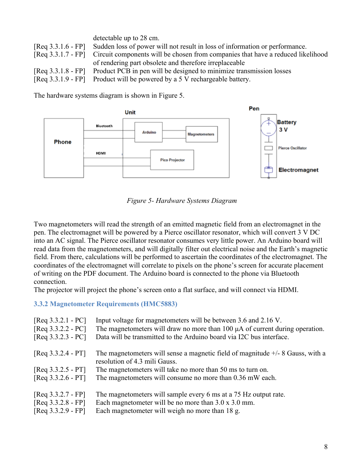| detectable up to 28 cm.                                                                            |
|----------------------------------------------------------------------------------------------------|
| [Req 3.3.1.6 - FP] Sudden loss of power will not result in loss of information or performance.     |
| [Req 3.3.1.7 - FP] Circuit components will be chosen from companies that have a reduced likelihood |
| of rendering part obsolete and therefore irreplaceable                                             |
| [Req 3.3.1.8 - FP] Product PCB in pen will be designed to minimize transmission losses             |
| [Req 3.3.1.9 - FP] Product will be powered by a 5 V rechargeable battery.                          |

The hardware systems diagram is shown in Figure 5.



*Figure 5- Hardware Systems Diagram*

Two magnetometers will read the strength of an emitted magnetic field from an electromagnet in the pen. The electromagnet will be powered by a Pierce oscillator resonator, which will convert 3 V DC into an AC signal. The Pierce oscillator resonator consumes very little power. An Arduino board will read data from the magnetometers, and will digitally filter out electrical noise and the Earth's magnetic field. From there, calculations will be performed to ascertain the coordinates of the electromagnet. The coordinates of the electromagnet will correlate to pixels on the phone's screen for accurate placement of writing on the PDF document. The Arduino board is connected to the phone via Bluetooth connection.

The projector will project the phone's screen onto a flat surface, and will connect via HDMI.

#### **3.3.2 Magnetometer Requirements (HMC5883)**

| $[Req 3.3.2.1 - PC]$<br>$[Req 3.3.2.2 - PC]$<br>$[Req 3.3.2.3 - PC]$ | Input voltage for magnetometers will be between 3.6 and 2.16 V.<br>The magnetometers will draw no more than 100 $\mu$ A of current during operation.<br>Data will be transmitted to the Arduino board via I2C bus interface. |
|----------------------------------------------------------------------|------------------------------------------------------------------------------------------------------------------------------------------------------------------------------------------------------------------------------|
| $[Req 3.3.2.4 - PT]$                                                 | The magnetometers will sense a magnetic field of magnitude $+/-8$ Gauss, with a<br>resolution of 4.3 mili Gauss.                                                                                                             |
| $[Req 3.3.2.5 - PT]$                                                 | The magnetometers will take no more than 50 ms to turn on.                                                                                                                                                                   |
| $[Req 3.3.2.6 - PT]$                                                 | The magnetometers will consume no more than 0.36 mW each.                                                                                                                                                                    |
| $[Req 3.3.2.7 - FP]$                                                 | The magnetometers will sample every 6 ms at a 75 Hz output rate.                                                                                                                                                             |
| $[Req 3.3.2.8 - FP]$                                                 | Each magnetometer will be no more than $3.0 \times 3.0$ mm.                                                                                                                                                                  |
| $[Req 3.3.2.9 - FP]$                                                 | Each magnetometer will weigh no more than 18 g.                                                                                                                                                                              |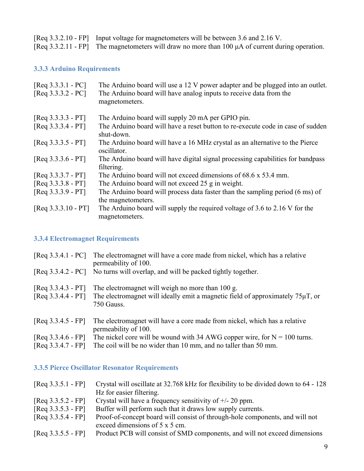[Req 3.3.2.10 - FP] Input voltage for magnetometers will be between 3.6 and 2.16 V.

[Req 3.3.2.11 - FP] The magnetometers will draw no more than 100 µA of current during operation.

#### **3.3.3 Arduino Requirements**

| $[Req 3.3.3.1 - PC]$<br>$[Req 3.3.3.2 - PC]$ | The Arduino board will use a 12 V power adapter and be plugged into an outlet.<br>The Arduino board will have analog inputs to receive data from the<br>magnetometers. |
|----------------------------------------------|------------------------------------------------------------------------------------------------------------------------------------------------------------------------|
| $[Req 3.3.3.3 - PT]$                         | The Arduino board will supply 20 mA per GPIO pin.                                                                                                                      |
| $[Req 3.3.3.4 - PT]$                         | The Arduino board will have a reset button to re-execute code in case of sudden<br>shut-down.                                                                          |
| $[Req 3.3.3.5 - PT]$                         | The Arduino board will have a 16 MHz crystal as an alternative to the Pierce<br>oscillator.                                                                            |
| $[Req 3.3.3.6 - PT]$                         | The Arduino board will have digital signal processing capabilities for bandpass<br>filtering.                                                                          |
| $[Req 3.3.3.7 - PT]$                         | The Arduino board will not exceed dimensions of 68.6 x 53.4 mm.                                                                                                        |
| $[Req 3.3.3.8 - PT]$                         | The Arduino board will not exceed 25 g in weight.                                                                                                                      |
| $[Req 3.3.3.9 - PT]$                         | The Arduino board will process data faster than the sampling period (6 ms) of                                                                                          |
|                                              | the magnetometers.                                                                                                                                                     |
| $[Req 3.3.3.10 - PT]$                        | The Arduino board will supply the required voltage of 3.6 to 2.16 V for the<br>magnetometers.                                                                          |

#### **3.3.4 Electromagnet Requirements**

|                                              | [Req 3.3.4.1 - PC] The electromagnet will have a core made from nickel, which has a relative<br>permeability of 100.                                  |
|----------------------------------------------|-------------------------------------------------------------------------------------------------------------------------------------------------------|
|                                              | [Req 3.3.4.2 - PC] No turns will overlap, and will be packed tightly together.                                                                        |
| $[Req 3.3.4.3 - PT]$<br>$[Req 3.3.4.4 - PT]$ | The electromagnet will weigh no more than 100 g.<br>The electromagnet will ideally emit a magnetic field of approximately $75\mu$ T, or<br>750 Gauss. |
| $[Req 3.3.4.5 - FP]$                         | The electromagnet will have a core made from nickel, which has a relative<br>permeability of 100.                                                     |
| $[Req 3.3.4.6 - FP]$                         | The nickel core will be wound with 34 AWG copper wire, for $N = 100$ turns.                                                                           |

[Req 3.3.4.7 - FP] The coil will be no wider than 10 mm, and no taller than 50 mm.

### **3.3.5 Pierce Oscillator Resonator Requirements**

| $[Req 3.3.5.1 - FP]$ | Crystal will oscillate at 32.768 kHz for flexibility to be divided down to 64 - 128 |
|----------------------|-------------------------------------------------------------------------------------|
|                      | Hz for easier filtering.                                                            |
| $[Req 3.3.5.2 - FP]$ | Crystal will have a frequency sensitivity of $+/- 20$ ppm.                          |
| $[Req 3.3.5.3 - FP]$ | Buffer will perform such that it draws low supply currents.                         |
| $[Req 3.3.5.4 - FP]$ | Proof-of-concept board will consist of through-hole components, and will not        |
|                      | exceed dimensions of 5 x 5 cm.                                                      |
| $[Req 3.3.5.5 - FP]$ | Product PCB will consist of SMD components, and will not exceed dimensions          |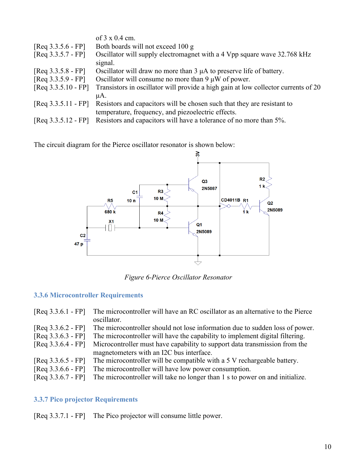|                       | of $3 \times 0.4$ cm.                                                              |
|-----------------------|------------------------------------------------------------------------------------|
| $[Req 3.3.5.6 - FP]$  | Both boards will not exceed 100 g                                                  |
| $[Req 3.3.5.7 - FP]$  | Oscillator will supply electromagnet with a 4 Vpp square wave 32.768 kHz           |
|                       | signal.                                                                            |
| $[Req 3.3.5.8 - FP]$  | Oscillator will draw no more than 3 µA to preserve life of battery.                |
| $[Req 3.3.5.9 - FP]$  | Oscillator will consume no more than $9 \mu W$ of power.                           |
| $[Req 3.3.5.10 - FP]$ | Transistors in oscillator will provide a high gain at low collector currents of 20 |
|                       | μA.                                                                                |
| $[Req 3.3.5.11 - FP]$ | Resistors and capacitors will be chosen such that they are resistant to            |
|                       | temperature, frequency, and piezoelectric effects.                                 |
| $[Req 3.3.5.12 - FP]$ | Resistors and capacitors will have a tolerance of no more than 5%.                 |

The circuit diagram for the Pierce oscillator resonator is shown below:



*Figure 6-Pierce Oscillator Resonator*

### **3.3.6 Microcontroller Requirements**

| The microcontroller will have an RC oscillator as an alternative to the Pierce<br>$[Req 3.3.6.1 - FP]$<br>oscillator. |  |
|-----------------------------------------------------------------------------------------------------------------------|--|
| $[Req 3.3.6.2 - FP]$<br>The microcontroller should not lose information due to sudden loss of power.                  |  |
| $[Req 3.3.6.3 - FP]$<br>The microcontroller will have the capability to implement digital filtering.                  |  |
| $[Req 3.3.6.4 - FP]$<br>Microcontroller must have capability to support data transmission from the                    |  |
| magnetometers with an I2C bus interface.                                                                              |  |
| The microcontroller will be compatible with a 5 V rechargeable battery.<br>$[Req 3.3.6.5 - FP]$                       |  |
| $[Req 3.3.6.6 - FP]$<br>The microcontroller will have low power consumption.                                          |  |
| The microcontroller will take no longer than 1 s to power on and initialize.<br>$[Req 3.3.6.7 - FP]$                  |  |

### **3.3.7 Pico projector Requirements**

[Req 3.3.7.1 - FP] The Pico projector will consume little power.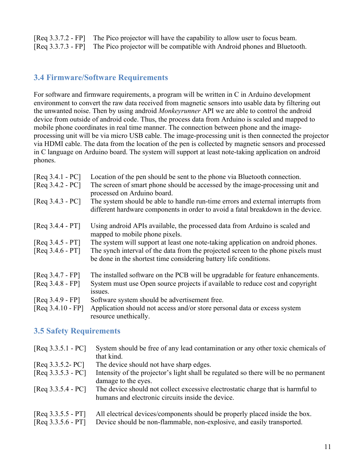[Req 3.3.7.2 - FP] The Pico projector will have the capability to allow user to focus beam. [Req 3.3.7.3 - FP] The Pico projector will be compatible with Android phones and Bluetooth.

### **3.4 Firmware/Software Requirements**

For software and firmware requirements, a program will be written in C in Arduino development environment to convert the raw data received from magnetic sensors into usable data by filtering out the unwanted noise. Then by using android *Monkeyrunner* API we are able to control the android device from outside of android code. Thus, the process data from Arduino is scaled and mapped to mobile phone coordinates in real time manner. The connection between phone and the imageprocessing unit will be via micro USB cable. The image-processing unit is then connected the projector via HDMI cable. The data from the location of the pen is collected by magnetic sensors and processed in C language on Arduino board. The system will support at least note-taking application on android phones.

| $[Req 3.4.1 - PC]$<br>$[Req 3.4.2 - PC]$ | Location of the pen should be sent to the phone via Bluetooth connection.<br>The screen of smart phone should be accessed by the image-processing unit and<br>processed on Arduino board. |
|------------------------------------------|-------------------------------------------------------------------------------------------------------------------------------------------------------------------------------------------|
| $[Req 3.4.3 - PC]$                       | The system should be able to handle run-time errors and external interrupts from<br>different hardware components in order to avoid a fatal breakdown in the device.                      |
| $[Req 3.4.4 - PT]$                       | Using android APIs available, the processed data from Arduino is scaled and<br>mapped to mobile phone pixels.                                                                             |
| $[Req 3.4.5 - PT]$                       | The system will support at least one note-taking application on android phones.                                                                                                           |
| $[Req 3.4.6 - PT]$                       | The synch interval of the data from the projected screen to the phone pixels must<br>be done in the shortest time considering battery life conditions.                                    |
| $[Req 3.4.7 - FP]$                       | The installed software on the PCB will be upgradable for feature enhancements.                                                                                                            |
| $[Req 3.4.8 - FP]$                       | System must use Open source projects if available to reduce cost and copyright                                                                                                            |
|                                          | issues.                                                                                                                                                                                   |
| $[Req 3.4.9 - FP]$                       | Software system should be advertisement free.                                                                                                                                             |
| $[Req 3.4.10 - FP]$                      | Application should not access and/or store personal data or excess system<br>resource unethically.                                                                                        |

### **3.5 Safety Requirements**

| $[Req 3.3.5.1 - PC]$ | System should be free of any lead contamination or any other toxic chemicals of<br>that kind. |
|----------------------|-----------------------------------------------------------------------------------------------|
| $[Req 3.3.5.2 - PC]$ | The device should not have sharp edges.                                                       |
| $[Req 3.3.5.3 - PC]$ | Intensity of the projector's light shall be regulated so there will be no permanent           |
|                      | damage to the eyes.                                                                           |
| $[Req 3.3.5.4 - PC]$ | The device should not collect excessive electrostatic charge that is harmful to               |
|                      | humans and electronic circuits inside the device.                                             |
| $[Req 3.3.5.5 - PT]$ | All electrical devices/components should be properly placed inside the box.                   |
| $[Req 3.3.5.6 - PT]$ | Device should be non-flammable, non-explosive, and easily transported.                        |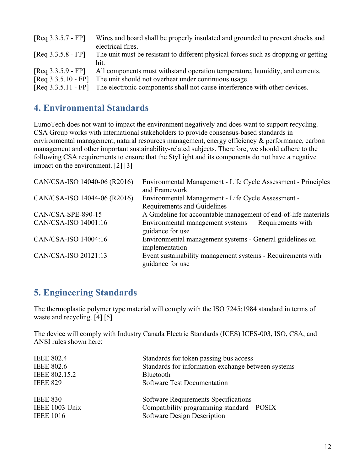| $[Req 3.3.5.7 - FP]$                                                   | Wires and board shall be properly insulated and grounded to prevent shocks and<br>electrical fires.                                                                                                                |
|------------------------------------------------------------------------|--------------------------------------------------------------------------------------------------------------------------------------------------------------------------------------------------------------------|
| $[Req 3.3.5.8 - FP]$                                                   | The unit must be resistant to different physical forces such as dropping or getting<br>hit.                                                                                                                        |
| $[Req 3.3.5.9 - FP]$<br>$[Req 3.3.5.10 - FP]$<br>$[Req 3.3.5.11 - FP]$ | All components must withstand operation temperature, humidity, and currents.<br>The unit should not overheat under continuous usage.<br>The electronic components shall not cause interference with other devices. |

## **4. Environmental Standards**

LumoTech does not want to impact the environment negatively and does want to support recycling. CSA Group works with international stakeholders to provide consensus-based standards in environmental management, natural resources management, energy efficiency & performance, carbon management and other important sustainability-related subjects. Therefore, we should adhere to the following CSA requirements to ensure that the StyLight and its components do not have a negative impact on the environment. [2] [3]

| CAN/CSA-ISO 14040-06 (R2016) | Environmental Management - Life Cycle Assessment - Principles<br>and Framework    |
|------------------------------|-----------------------------------------------------------------------------------|
| CAN/CSA-ISO 14044-06 (R2016) | Environmental Management - Life Cycle Assessment -<br>Requirements and Guidelines |
| CAN/CSA-SPE-890-15           | A Guideline for accountable management of end-of-life materials                   |
| CAN/CSA-ISO 14001:16         | Environmental management systems — Requirements with<br>guidance for use          |
| CAN/CSA-ISO 14004:16         | Environmental management systems - General guidelines on<br>implementation        |
| CAN/CSA-ISO 20121:13         | Event sustainability management systems - Requirements with<br>guidance for use   |

## **5. Engineering Standards**

The thermoplastic polymer type material will comply with the ISO 7245:1984 standard in terms of waste and recycling. [4] [5]

The device will comply with Industry Canada Electric Standards (ICES) ICES-003, ISO, CSA, and ANSI rules shown here:

| <b>IEEE 802.4</b> | Standards for token passing bus access             |
|-------------------|----------------------------------------------------|
| <b>IEEE 802.6</b> | Standards for information exchange between systems |
| IEEE 802.15.2     | Bluetooth                                          |
| <b>IEEE 829</b>   | Software Test Documentation                        |
| <b>IEEE 830</b>   | Software Requirements Specifications               |
| IEEE 1003 Unix    | Compatibility programming standard – POSIX         |
| <b>IEEE 1016</b>  | Software Design Description                        |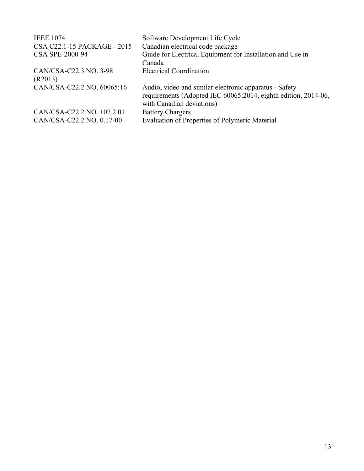| <b>IEEE 1074</b>                                        | Software Development Life Cycle                                                                                                                       |
|---------------------------------------------------------|-------------------------------------------------------------------------------------------------------------------------------------------------------|
| CSA C22.1-15 PACKAGE - 2015                             | Canadian electrical code package                                                                                                                      |
| <b>CSA SPE-2000-94</b>                                  | Guide for Electrical Equipment for Installation and Use in<br>Canada                                                                                  |
| CAN/CSA-C22.3 NO. 3-98<br>(R2013)                       | <b>Electrical Coordination</b>                                                                                                                        |
| CAN/CSA-C22.2 NO. 60065:16                              | Audio, video and similar electronic apparatus - Safety<br>requirements (Adopted IEC 60065:2014, eighth edition, 2014-06,<br>with Canadian deviations) |
| CAN/CSA-C22.2 NO. 107.2.01<br>CAN/CSA-C22.2 NO. 0.17-00 | <b>Battery Chargers</b><br>Evaluation of Properties of Polymeric Material                                                                             |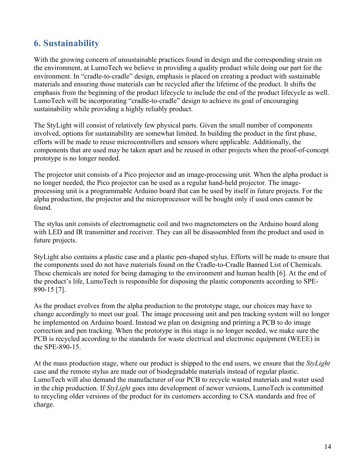# **6. Sustainability**

With the growing concern of unsustainable practices found in design and the corresponding strain on the environment, at LumoTech we believe in providing a quality product while doing our part for the environment. In "cradle-to-cradle" design, emphasis is placed on creating a product with sustainable materials and ensuring those materials can be recycled after the lifetime of the product. It shifts the emphasis from the beginning of the product lifecycle to include the end of the product lifecycle as well. LumoTech will be incorporating "cradle-to-cradle" design to achieve its goal of encouraging sustainability while providing a highly reliably product.

The StyLight will consist of relatively few physical parts. Given the small number of components involved, options for sustainability are somewhat limited. In building the product in the first phase, efforts will be made to reuse microcontrollers and sensors where applicable. Additionally, the components that are used may be taken apart and be reused in other projects when the proof-of-concept prototype is no longer needed.

The projector unit consists of a Pico projector and an image-processing unit. When the alpha product is no longer needed, the Pico projector can be used as a regular hand-held projector. The imageprocessing unit is a programmable Arduino board that can be used by itself in future projects. For the alpha production, the projector and the microprocessor will be bought only if used ones cannot be found.

The stylus unit consists of electromagnetic coil and two magnetometers on the Arduino board along with LED and IR transmitter and receiver. They can all be disassembled from the product and used in future projects.

StyLight also contains a plastic case and a plastic pen-shaped stylus. Efforts will be made to ensure that the components used do not have materials found on the Cradle-to-Cradle Banned List of Chemicals. These chemicals are noted for being damaging to the environment and human health [6]. At the end of the product's life, LumoTech is responsible for disposing the plastic components according to SPE-890-15 [7].

As the product evolves from the alpha production to the prototype stage, our choices may have to change accordingly to meet our goal. The image processing unit and pen tracking system will no longer be implemented on Arduino board. Instead we plan on designing and printing a PCB to do image correction and pen tracking. When the prototype in this stage is no longer needed, we make sure the PCB is recycled according to the standards for waste electrical and electronic equipment (WEEE) in the SPE-890-15.

At the mass production stage, where our product is shipped to the end users, we ensure that the *StyLight* case and the remote stylus are made out of biodegradable materials instead of regular plastic. LumoTech will also demand the manufacturer of our PCB to recycle wasted materials and water used in the chip production. If *StyLight* goes into development of newer versions, LumoTech is committed to recycling older versions of the product for its customers according to CSA standards and free of charge.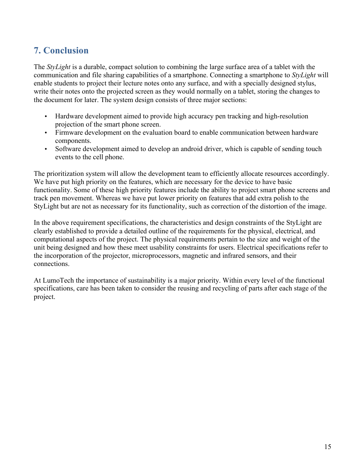# **7. Conclusion**

The *StyLight* is a durable, compact solution to combining the large surface area of a tablet with the communication and file sharing capabilities of a smartphone. Connecting a smartphone to *StyLight* will enable students to project their lecture notes onto any surface, and with a specially designed stylus, write their notes onto the projected screen as they would normally on a tablet, storing the changes to the document for later. The system design consists of three major sections:

- Hardware development aimed to provide high accuracy pen tracking and high-resolution projection of the smart phone screen.
- Firmware development on the evaluation board to enable communication between hardware components.
- Software development aimed to develop an android driver, which is capable of sending touch events to the cell phone.

The prioritization system will allow the development team to efficiently allocate resources accordingly. We have put high priority on the features, which are necessary for the device to have basic functionality. Some of these high priority features include the ability to project smart phone screens and track pen movement. Whereas we have put lower priority on features that add extra polish to the StyLight but are not as necessary for its functionality, such as correction of the distortion of the image.

In the above requirement specifications, the characteristics and design constraints of the StyLight are clearly established to provide a detailed outline of the requirements for the physical, electrical, and computational aspects of the project. The physical requirements pertain to the size and weight of the unit being designed and how these meet usability constraints for users. Electrical specifications refer to the incorporation of the projector, microprocessors, magnetic and infrared sensors, and their connections.

At LumoTech the importance of sustainability is a major priority. Within every level of the functional specifications, care has been taken to consider the reusing and recycling of parts after each stage of the project.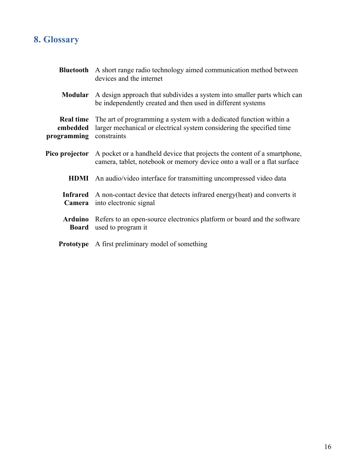# **8. Glossary**

|                                             | <b>Bluetooth</b> A short range radio technology aimed communication method between<br>devices and the internet                                             |
|---------------------------------------------|------------------------------------------------------------------------------------------------------------------------------------------------------------|
| <b>Modular</b>                              | A design approach that subdivides a system into smaller parts which can<br>be independently created and then used in different systems                     |
| <b>Real time</b><br>embedded<br>programming | The art of programming a system with a dedicated function within a<br>larger mechanical or electrical system considering the specified time<br>constraints |
| Pico projector                              | A pocket or a handheld device that projects the content of a smartphone,<br>camera, tablet, notebook or memory device onto a wall or a flat surface        |
| <b>HDMI</b>                                 | An audio/video interface for transmitting uncompressed video data                                                                                          |
| <b>Infrared</b><br>Camera                   | A non-contact device that detects infrared energy (heat) and converts it<br>into electronic signal                                                         |
| Arduino<br>Board                            | Refers to an open-source electronics platform or board and the software<br>used to program it                                                              |
|                                             | <b>Prototype</b> A first preliminary model of something                                                                                                    |